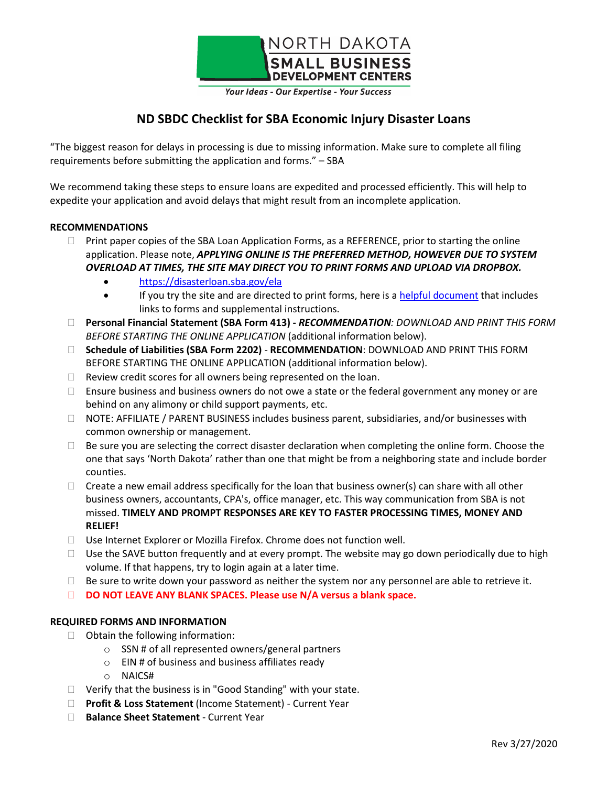

Your Ideas - Our Expertise - Your Success

# **ND SBDC Checklist for SBA Economic Injury Disaster Loans**

"The biggest reason for delays in processing is due to missing information. Make sure to complete all filing requirements before submitting the application and forms." – SBA

We recommend taking these steps to ensure loans are expedited and processed efficiently. This will help to expedite your application and avoid delays that might result from an incomplete application.

# **RECOMMENDATIONS**

- $\Box$  Print paper copies of the SBA Loan Application Forms, as a REFERENCE, prior to starting the online application. Please note, *APPLYING ONLINE IS THE PREFERRED METHOD, HOWEVER DUE TO SYSTEM OVERLOAD AT TIMES, THE SITE MAY DIRECT YOU TO PRINT FORMS AND UPLOAD VIA DROPBOX.*
	- <https://disasterloan.sba.gov/ela>
	- If you try the site and are directed to print forms, here is [a helpful document](https://ndsbdc.org/_files/docs/covid-19-documents/eid-loans-how-to-apply.pdf) that includes links to forms and supplemental instructions.
- **Personal Financial Statement (SBA Form 413) -** *RECOMMENDATION: DOWNLOAD AND PRINT THIS FORM BEFORE STARTING THE ONLINE APPLICATION* (additional information below).
- **Schedule of Liabilities (SBA Form 2202) RECOMMENDATION**: DOWNLOAD AND PRINT THIS FORM BEFORE STARTING THE ONLINE APPLICATION (additional information below).
- $\Box$  Review credit scores for all owners being represented on the loan.
- $\Box$  Ensure business and business owners do not owe a state or the federal government any money or are behind on any alimony or child support payments, etc.
- NOTE: AFFILIATE / PARENT BUSINESS includes business parent, subsidiaries, and/or businesses with common ownership or management.
- $\Box$  Be sure you are selecting the correct disaster declaration when completing the online form. Choose the one that says 'North Dakota' rather than one that might be from a neighboring state and include border counties.
- $\Box$  Create a new email address specifically for the loan that business owner(s) can share with all other business owners, accountants, CPA's, office manager, etc. This way communication from SBA is not missed. **TIMELY AND PROMPT RESPONSES ARE KEY TO FASTER PROCESSING TIMES, MONEY AND RELIEF!**
- □ Use Internet Explorer or Mozilla Firefox. Chrome does not function well.
- $\Box$  Use the SAVE button frequently and at every prompt. The website may go down periodically due to high volume. If that happens, try to login again at a later time.
- $\Box$  Be sure to write down your password as neither the system nor any personnel are able to retrieve it.
- **DO NOT LEAVE ANY BLANK SPACES. Please use N/A versus a blank space.**

# **REQUIRED FORMS AND INFORMATION**

- $\Box$  Obtain the following information:
	- o SSN # of all represented owners/general partners
	- o EIN # of business and business affiliates ready
	- o NAICS#
- $\Box$  Verify that the business is in "Good Standing" with your state.
- **Profit & Loss Statement** (Income Statement) Current Year
- **Balance Sheet Statement** Current Year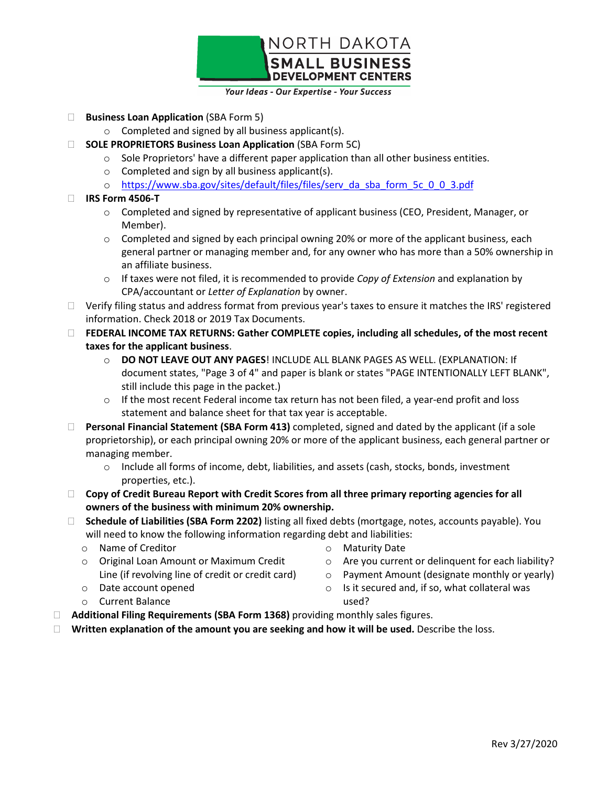

Your Ideas - Our Expertise - Your Success

- **Business Loan Application** (SBA Form 5)
	- o Completed and signed by all business applicant(s).
- **SOLE PROPRIETORS Business Loan Application** (SBA Form 5C)
	- o Sole Proprietors' have a different paper application than all other business entities.
	- o Completed and sign by all business applicant(s).
	- o [https://www.sba.gov/sites/default/files/files/serv\\_da\\_sba\\_form\\_5c\\_0\\_0\\_3.pdf](https://www.sba.gov/sites/default/files/files/serv_da_sba_form_5c_0_0_3.pdf)

# **IRS Form 4506-T**

- $\circ$  Completed and signed by representative of applicant business (CEO, President, Manager, or Member).
- $\circ$  Completed and signed by each principal owning 20% or more of the applicant business, each general partner or managing member and, for any owner who has more than a 50% ownership in an affiliate business.
- o If taxes were not filed, it is recommended to provide *Copy of Extension* and explanation by CPA/accountant or *Letter of Explanation* by owner.
- $\Box$  Verify filing status and address format from previous year's taxes to ensure it matches the IRS' registered information. Check 2018 or 2019 Tax Documents.
- **FEDERAL INCOME TAX RETURNS: Gather COMPLETE copies, including all schedules, of the most recent taxes for the applicant business**.
	- o **DO NOT LEAVE OUT ANY PAGES**! INCLUDE ALL BLANK PAGES AS WELL. (EXPLANATION: If document states, "Page 3 of 4" and paper is blank or states "PAGE INTENTIONALLY LEFT BLANK", still include this page in the packet.)
	- $\circ$  If the most recent Federal income tax return has not been filed, a year-end profit and loss statement and balance sheet for that tax year is acceptable.
- **Personal Financial Statement (SBA Form 413)** completed, signed and dated by the applicant (if a sole proprietorship), or each principal owning 20% or more of the applicant business, each general partner or managing member.
	- o Include all forms of income, debt, liabilities, and assets (cash, stocks, bonds, investment properties, etc.).
- **Copy of Credit Bureau Report with Credit Scores from all three primary reporting agencies for all owners of the business with minimum 20% ownership.**
- **Schedule of Liabilities (SBA Form 2202)** listing all fixed debts (mortgage, notes, accounts payable). You will need to know the following information regarding debt and liabilities:
	- o Name of Creditor

o Date account opened o Current Balance

- o Maturity Date
- o Are you current or delinquent for each liability?
- Line (if revolving line of credit or credit card)

o Original Loan Amount or Maximum Credit

- o Payment Amount (designate monthly or yearly)
	- $\circ$  Is it secured and, if so, what collateral was used?
- **Additional Filing Requirements (SBA Form 1368)** providing monthly sales figures.
- **Nota The Symon Symon Symon Symon Symon Symon Symon Symon Symon Symon Symon Symon Symon Symon Symon Symon Symon Symon Symon Symon Symon Symon Symon Symon Symon Symon Symon Symon Symon Symon Symon Symon Symon Symon Symon Sy**